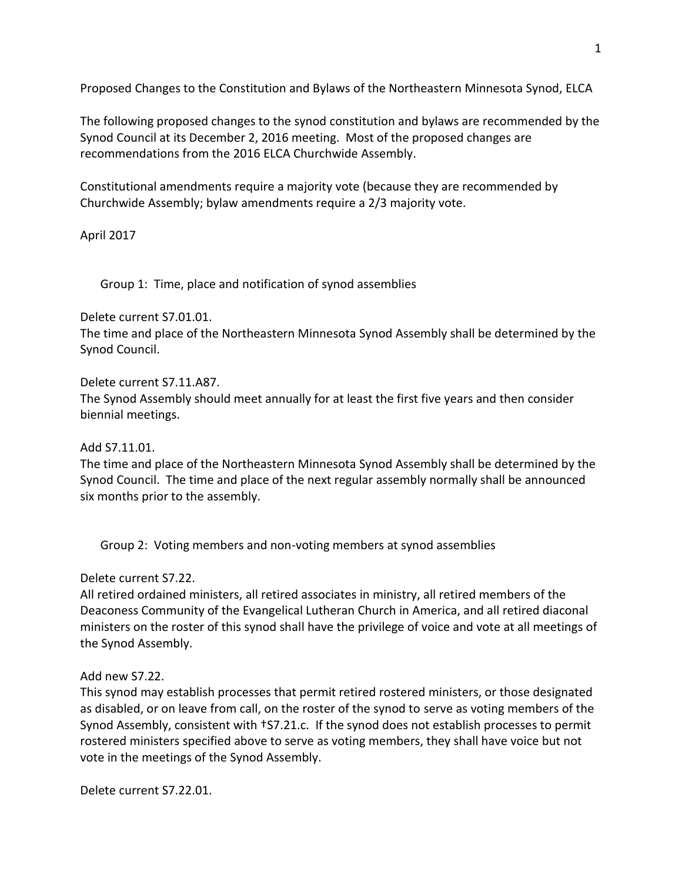Proposed Changes to the Constitution and Bylaws of the Northeastern Minnesota Synod, ELCA

The following proposed changes to the synod constitution and bylaws are recommended by the Synod Council at its December 2, 2016 meeting. Most of the proposed changes are recommendations from the 2016 ELCA Churchwide Assembly.

Constitutional amendments require a majority vote (because they are recommended by Churchwide Assembly; bylaw amendments require a 2/3 majority vote.

April 2017

Group 1: Time, place and notification of synod assemblies

Delete current S7.01.01.

The time and place of the Northeastern Minnesota Synod Assembly shall be determined by the Synod Council.

Delete current S7.11.A87.

The Synod Assembly should meet annually for at least the first five years and then consider biennial meetings.

Add S7.11.01.

The time and place of the Northeastern Minnesota Synod Assembly shall be determined by the Synod Council. The time and place of the next regular assembly normally shall be announced six months prior to the assembly.

Group 2: Voting members and non-voting members at synod assemblies

Delete current S7.22.

All retired ordained ministers, all retired associates in ministry, all retired members of the Deaconess Community of the Evangelical Lutheran Church in America, and all retired diaconal ministers on the roster of this synod shall have the privilege of voice and vote at all meetings of the Synod Assembly.

# Add new S7.22.

This synod may establish processes that permit retired rostered ministers, or those designated as disabled, or on leave from call, on the roster of the synod to serve as voting members of the Synod Assembly, consistent with †S7.21.c. If the synod does not establish processes to permit rostered ministers specified above to serve as voting members, they shall have voice but not vote in the meetings of the Synod Assembly.

Delete current S7.22.01.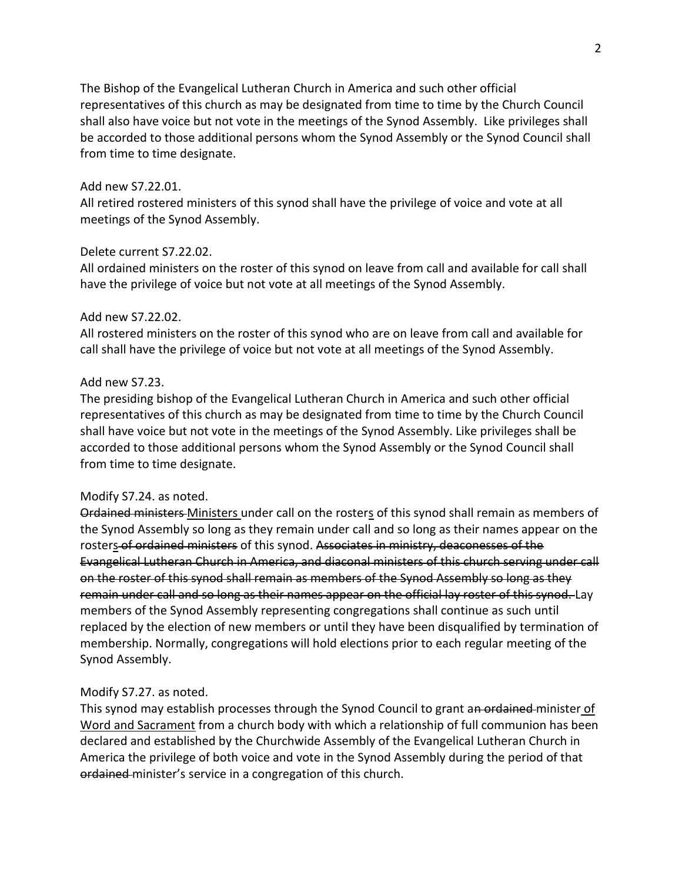The Bishop of the Evangelical Lutheran Church in America and such other official representatives of this church as may be designated from time to time by the Church Council shall also have voice but not vote in the meetings of the Synod Assembly. Like privileges shall be accorded to those additional persons whom the Synod Assembly or the Synod Council shall from time to time designate.

## Add new S7.22.01.

All retired rostered ministers of this synod shall have the privilege of voice and vote at all meetings of the Synod Assembly.

#### Delete current S7.22.02.

All ordained ministers on the roster of this synod on leave from call and available for call shall have the privilege of voice but not vote at all meetings of the Synod Assembly.

#### Add new S7.22.02.

All rostered ministers on the roster of this synod who are on leave from call and available for call shall have the privilege of voice but not vote at all meetings of the Synod Assembly.

### Add new S7.23.

The presiding bishop of the Evangelical Lutheran Church in America and such other official representatives of this church as may be designated from time to time by the Church Council shall have voice but not vote in the meetings of the Synod Assembly. Like privileges shall be accorded to those additional persons whom the Synod Assembly or the Synod Council shall from time to time designate.

#### Modify S7.24. as noted.

Ordained ministers Ministers under call on the rosters of this synod shall remain as members of the Synod Assembly so long as they remain under call and so long as their names appear on the rosters of ordained ministers of this synod. Associates in ministry, deaconesses of the Evangelical Lutheran Church in America, and diaconal ministers of this church serving under call on the roster of this synod shall remain as members of the Synod Assembly so long as they remain under call and so long as their names appear on the official lay roster of this synod. Lay members of the Synod Assembly representing congregations shall continue as such until replaced by the election of new members or until they have been disqualified by termination of membership. Normally, congregations will hold elections prior to each regular meeting of the Synod Assembly.

### Modify S7.27. as noted.

This synod may establish processes through the Synod Council to grant an ordained minister of Word and Sacrament from a church body with which a relationship of full communion has been declared and established by the Churchwide Assembly of the Evangelical Lutheran Church in America the privilege of both voice and vote in the Synod Assembly during the period of that ordained-minister's service in a congregation of this church.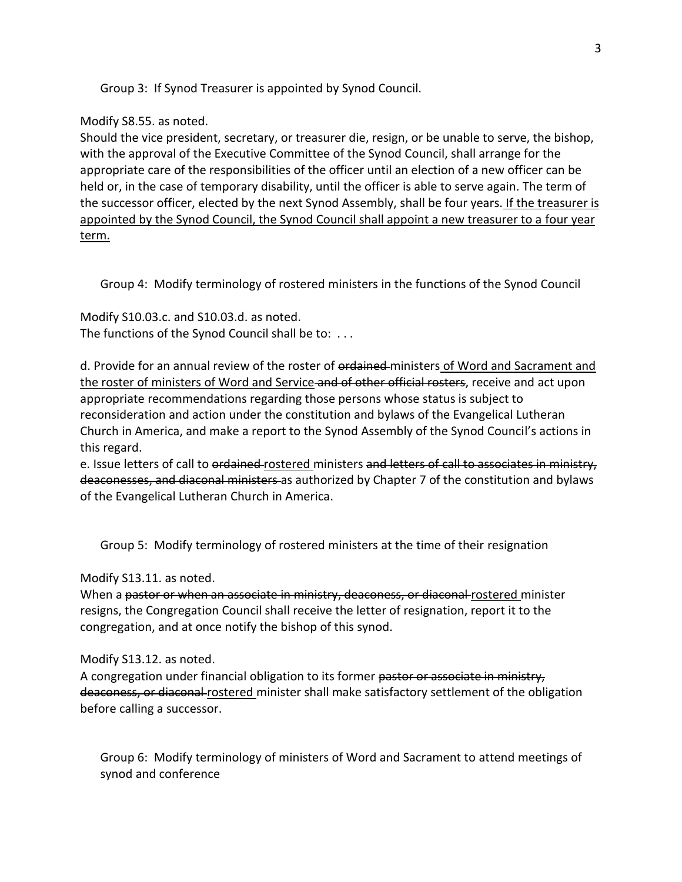Group 3: If Synod Treasurer is appointed by Synod Council.

## Modify S8.55. as noted.

Should the vice president, secretary, or treasurer die, resign, or be unable to serve, the bishop, with the approval of the Executive Committee of the Synod Council, shall arrange for the appropriate care of the responsibilities of the officer until an election of a new officer can be held or, in the case of temporary disability, until the officer is able to serve again. The term of the successor officer, elected by the next Synod Assembly, shall be four years. If the treasurer is appointed by the Synod Council, the Synod Council shall appoint a new treasurer to a four year term.

Group 4: Modify terminology of rostered ministers in the functions of the Synod Council

Modify S10.03.c. and S10.03.d. as noted. The functions of the Synod Council shall be to: . . .

d. Provide for an annual review of the roster of ordained ministers of Word and Sacrament and the roster of ministers of Word and Service-and of other official rosters, receive and act upon appropriate recommendations regarding those persons whose status is subject to reconsideration and action under the constitution and bylaws of the Evangelical Lutheran Church in America, and make a report to the Synod Assembly of the Synod Council's actions in this regard.

e. Issue letters of call to ordained rostered ministers and letters of call to associates in ministry, deaconesses, and diaconal ministers as authorized by Chapter 7 of the constitution and bylaws of the Evangelical Lutheran Church in America.

Group 5: Modify terminology of rostered ministers at the time of their resignation

Modify S13.11. as noted.

When a pastor or when an associate in ministry, deaconess, or diaconal rostered minister resigns, the Congregation Council shall receive the letter of resignation, report it to the congregation, and at once notify the bishop of this synod.

# Modify S13.12. as noted.

A congregation under financial obligation to its former pastor or associate in ministry, deaconess, or diaconal rostered minister shall make satisfactory settlement of the obligation before calling a successor.

Group 6: Modify terminology of ministers of Word and Sacrament to attend meetings of synod and conference